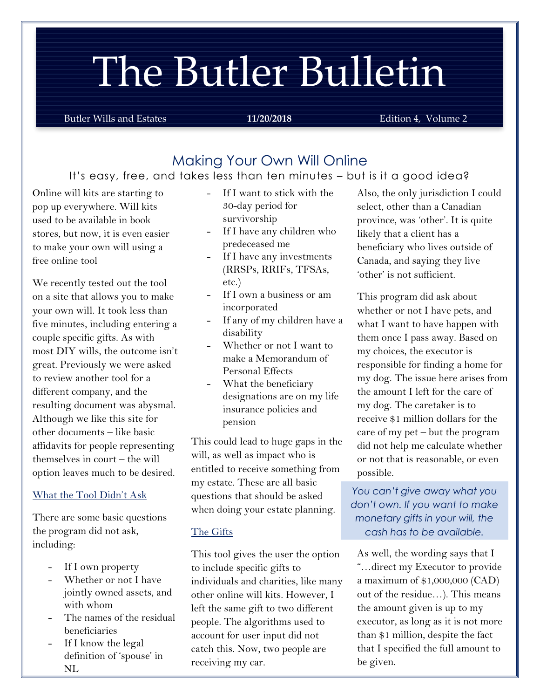# The Butler Bulletin

**Butler Wills and Estates 11/20/2018** Edition 4, Volume 2

# Making Your Own Will Online

#### It's easy, free, and takes less than ten minutes – but is it a good idea?

Online will kits are starting to pop up everywhere. Will kits used to be available in book stores, but now, it is even easier to make your own will using a free online tool

We recently tested out the tool on a site that allows you to make your own will. It took less than five minutes, including entering a couple specific gifts. As with most DIY wills, the outcome isn't great. Previously we were asked to review another tool for a different company, and the resulting document was abysmal. Although we like this site for other documents – like basic affidavits for people representing themselves in court – the will option leaves much to be desired.

#### What the Tool Didn't Ask

There are some basic questions the program did not ask, including:

- If I own property
- Whether or not I have jointly owned assets, and with whom
- The names of the residual beneficiaries
- If I know the legal definition of 'spouse' in NL
- If I want to stick with the 30-day period for survivorship
- If I have any children who predeceased me
- If I have any investments (RRSPs, RRIFs, TFSAs, etc.)
- If I own a business or am incorporated
- If any of my children have a disability
- Whether or not I want to make a Memorandum of Personal Effects
- What the beneficiary designations are on my life insurance policies and pension

This could lead to huge gaps in the will, as well as impact who is entitled to receive something from my estate. These are all basic questions that should be asked when doing your estate planning.

#### The Gifts

This tool gives the user the option to include specific gifts to individuals and charities, like many other online will kits. However, I left the same gift to two different people. The algorithms used to account for user input did not catch this. Now, two people are receiving my car.

Also, the only jurisdiction I could select, other than a Canadian province, was 'other'. It is quite likely that a client has a beneficiary who lives outside of Canada, and saying they live 'other' is not sufficient.

This program did ask about whether or not I have pets, and what I want to have happen with them once I pass away. Based on my choices, the executor is responsible for finding a home for my dog. The issue here arises from the amount I left for the care of my dog. The caretaker is to receive \$1 million dollars for the care of my pet – but the program did not help me calculate whether or not that is reasonable, or even possible.

*You can't give away what you don't own. If you want to make monetary gifts in your will, the cash has to be available.*

As well, the wording says that I "…direct my Executor to provide a maximum of \$1,000,000 (CAD) out of the residue…). This means the amount given is up to my executor, as long as it is not more than \$1 million, despite the fact that I specified the full amount to be given.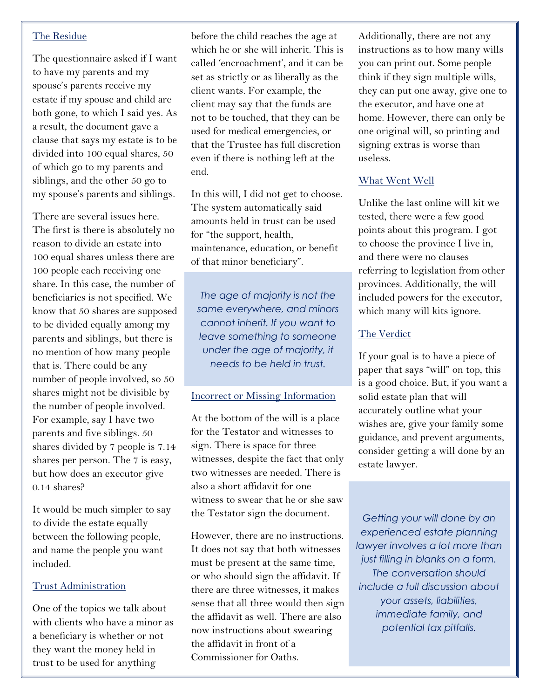#### The Residue

The questionnaire asked if I want to have my parents and my spouse's parents receive my estate if my spouse and child are both gone, to which I said yes. As a result, the document gave a clause that says my estate is to be divided into 100 equal shares, 50 of which go to my parents and siblings, and the other 50 go to my spouse's parents and siblings.

There are several issues here. The first is there is absolutely no reason to divide an estate into 100 equal shares unless there are 100 people each receiving one share. In this case, the number of beneficiaries is not specified. We know that 50 shares are supposed to be divided equally among my parents and siblings, but there is no mention of how many people that is. There could be any number of people involved, so 50 shares might not be divisible by the number of people involved. For example, say I have two parents and five siblings. 50 shares divided by 7 people is 7.14 shares per person. The 7 is easy, but how does an executor give 0.14 shares?

It would be much simpler to say to divide the estate equally between the following people, and name the people you want included.

#### Trust Administration

One of the topics we talk about with clients who have a minor as a beneficiary is whether or not they want the money held in trust to be used for anything

before the children reaches the age of the age of the age of the age of the age of the age of the age of the a<br>The age of the age of the age of the age of the age of the age of the age of the age of the age of the age of

before the child reaches the age at which he or she will inherit. This is called 'encroachment', and it can be set as strictly or as liberally as the client wants. For example, the client may say that the funds are not to be touched, that they can be used for medical emergencies, or that the Trustee has full discretion even if there is nothing left at the end.

In this will, I did not get to choose. The system automatically said amounts held in trust can be used for "the support, health, maintenance, education, or benefit of that minor beneficiary".

*The age of majority is not the same everywhere, and minors cannot inherit. If you want to leave something to someone under the age of majority, it needs to be held in trust.*

#### Incorrect or Missing Information

At the bottom of the will is a place for the Testator and witnesses to sign. There is space for three witnesses, despite the fact that only two witnesses are needed. There is also a short affidavit for one witness to swear that he or she saw the Testator sign the document.

However, there are no instructions. It does not say that both witnesses must be present at the same time, or who should sign the affidavit. If there are three witnesses, it makes sense that all three would then sign the affidavit as well. There are also now instructions about swearing the affidavit in front of a Commissioner for Oaths.

Additionally, there are not any instructions as to how many wills you can print out. Some people think if they sign multiple wills, they can put one away, give one to the executor, and have one at home. However, there can only be one original will, so printing and signing extras is worse than useless.

#### What Went Well

Unlike the last online will kit we tested, there were a few good points about this program. I got to choose the province I live in, and there were no clauses referring to legislation from other provinces. Additionally, the will included powers for the executor, which many will kits ignore.

#### The Verdict

If your goal is to have a piece of paper that says "will" on top, this is a good choice. But, if you want a solid estate plan that will accurately outline what your wishes are, give your family some guidance, and prevent arguments, consider getting a will done by an estate lawyer.

*Getting your will done by an experienced estate planning lawyer involves a lot more than just filling in blanks on a form. The conversation should include a full discussion about your assets, liabilities, immediate family, and potential tax pitfalls.*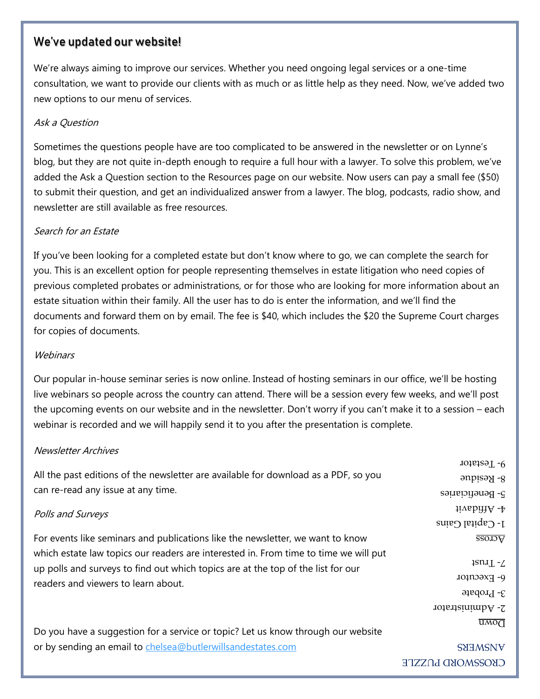### We've updated our website!

We're always aiming to improve our services. Whether you need ongoing legal services or a one-time consultation, we want to provide our clients with as much or as little help as they need. Now, we've added two new options to our menu of services.

#### Ask a Question

Sometimes the questions people have are too complicated to be answered in the newsletter or on Lynne's blog, but they are not quite in-depth enough to require a full hour with a lawyer. To solve this problem, we've added the Ask a Question section to the Resources page on our website. Now users can pay a small fee (\$50) to submit their question, and get an individualized answer from a lawyer. The blog, podcasts, radio show, and newsletter are still available as free resources.

#### Search for an Estate

If you've been looking for a completed estate but don't know where to go, we can complete the search for you. This is an excellent option for people representing themselves in estate litigation who need copies of previous completed probates or administrations, or for those who are looking for more information about an estate situation within their family. All the user has to do is enter the information, and we'll find the documents and forward them on by email. The fee is \$40, which includes the \$20 the Supreme Court charges for copies of documents.

#### **Webinars**

Our popular in-house seminar series is now online. Instead of hosting seminars in our office, we'll be hosting live webinars so people across the country can attend. There will be a session every few weeks, and we'll post the upcoming events on our website and in the newsletter. Don't worry if you can't make it to a session – each webinar is recorded and we will happily send it to you after the presentation is complete.

#### Newsletter Archives

All the past editions of the newsletter are available for download as a PDF, so you can re-read any issue at any time.

Polls and Surveys

For events like seminars and publications like the newsletter, we want to know which estate law topics our readers are interested in. From time to time we will put up polls and surveys to find out which topics are at the top of the list for our readers and viewers to learn about.

Do you have a suggestion for a service or topic? Let us know through our website or by sending an email to [chelsea@butlerwillsandestates.com](mailto:chelsea@butlerwillsandestates.com)

CKOSSMOKD **LOZDE SNEWSNE** 

Affidavit - 4

8- Residue 9- Testator

 $I$ - Capital Gains

Beneficiaries - 5

Across

 $1$ sn $1 - 2$ 

P- Executor

 $3-$  Probate

 $\overline{UMO}$ 

Administrator - 2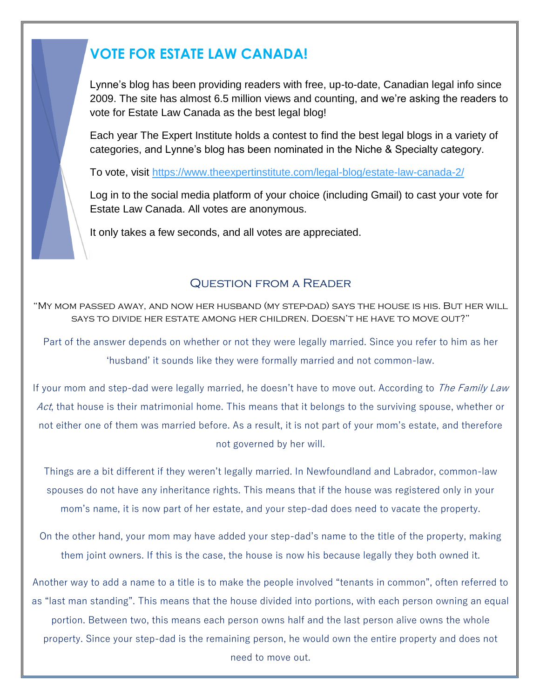# **VOTE FOR ESTATE LAW CANADA!**

Lynne's blog has been providing readers with free, up-to-date, Canadian legal info since 2009. The site has almost 6.5 million views and counting, and we're asking the readers to vote for Estate Law Canada as the best legal blog!

Each year The Expert Institute holds a contest to find the best legal blogs in a variety of categories, and Lynne's blog has been nominated in the Niche & Specialty category.

To vote, visit<https://www.theexpertinstitute.com/legal-blog/estate-law-canada-2/>

Log in to the social media platform of your choice (including Gmail) to cast your vote for Estate Law Canada. All votes are anonymous.

It only takes a few seconds, and all votes are appreciated.

# Question from a Reader

"My mom passed away, and now her husband (my step-dad) says the house is his. But her will says to divide her estate among her children. Doesn't he have to move out?"

Part of the answer depends on whether or not they were legally married. Since you refer to him as her 'husband' it sounds like they were formally married and not common-law.

If your mom and step-dad were legally married, he doesn't have to move out. According to The Family Law Act, that house is their matrimonial home. This means that it belongs to the surviving spouse, whether or not either one of them was married before. As a result, it is not part of your mom's estate, and therefore not governed by her will.

Things are a bit different if they weren't legally married. In Newfoundland and Labrador, common-law spouses do not have any inheritance rights. This means that if the house was registered only in your mom's name, it is now part of her estate, and your step-dad does need to vacate the property.

On the other hand, your mom may have added your step-dad's name to the title of the property, making them joint owners. If this is the case, the house is now his because legally they both owned it.

Another way to add a name to a title is to make the people involved "tenants in common", often referred to as "last man standing". This means that the house divided into portions, with each person owning an equal portion. Between two, this means each person owns half and the last person alive owns the whole property. Since your step-dad is the remaining person, he would own the entire property and does not need to move out.